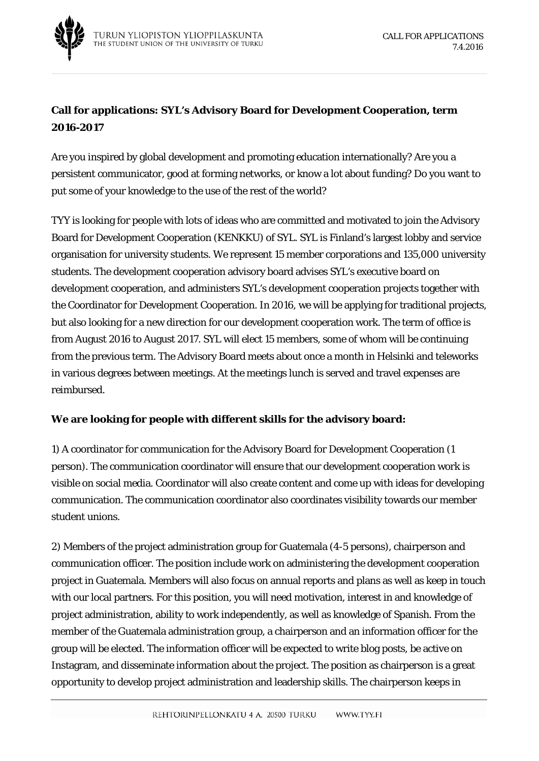

## **Call for applications: SYL's Advisory Board for Development Cooperation, term 2016-2017**

Are you inspired by global development and promoting education internationally? Are you a persistent communicator, good at forming networks, or know a lot about funding? Do you want to put some of your knowledge to the use of the rest of the world?

TYY is looking for people with lots of ideas who are committed and motivated to join the Advisory Board for Development Cooperation (KENKKU) of SYL. SYL is Finland's largest lobby and service organisation for university students. We represent 15 member corporations and 135,000 university students. The development cooperation advisory board advises SYL's executive board on development cooperation, and administers SYL's development cooperation projects together with the Coordinator for Development Cooperation. In 2016, we will be applying for traditional projects, but also looking for a new direction for our development cooperation work. The term of office is from August 2016 to August 2017. SYL will elect 15 members, some of whom will be continuing from the previous term. The Advisory Board meets about once a month in Helsinki and teleworks in various degrees between meetings. At the meetings lunch is served and travel expenses are reimbursed.

## **We are looking for people with different skills for the advisory board:**

1) A coordinator for communication for the Advisory Board for Development Cooperation (1 person). The communication coordinator will ensure that our development cooperation work is visible on social media. Coordinator will also create content and come up with ideas for developing communication. The communication coordinator also coordinates visibility towards our member student unions.

2) Members of the project administration group for Guatemala (4-5 persons), chairperson and communication officer. The position include work on administering the development cooperation project in Guatemala. Members will also focus on annual reports and plans as well as keep in touch with our local partners. For this position, you will need motivation, interest in and knowledge of project administration, ability to work independently, as well as knowledge of Spanish. From the member of the Guatemala administration group, a chairperson and an information officer for the group will be elected. The information officer will be expected to write blog posts, be active on Instagram, and disseminate information about the project. The position as chairperson is a great opportunity to develop project administration and leadership skills. The chairperson keeps in